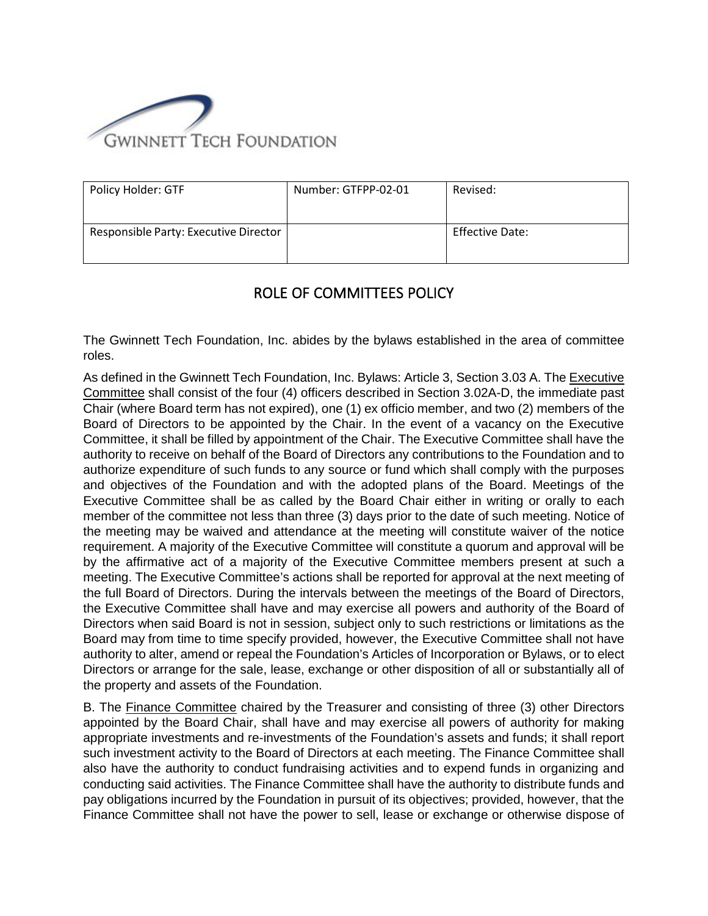

| Policy Holder: GTF                    | Number: GTFPP-02-01 | Revised:        |
|---------------------------------------|---------------------|-----------------|
| Responsible Party: Executive Director |                     | Effective Date: |

## ROLE OF COMMITTEES POLICY

The Gwinnett Tech Foundation, Inc. abides by the bylaws established in the area of committee roles.

As defined in the Gwinnett Tech Foundation, Inc. Bylaws: Article 3, Section 3.03 A. The Executive Committee shall consist of the four (4) officers described in Section 3.02A-D, the immediate past Chair (where Board term has not expired), one (1) ex officio member, and two (2) members of the Board of Directors to be appointed by the Chair. In the event of a vacancy on the Executive Committee, it shall be filled by appointment of the Chair. The Executive Committee shall have the authority to receive on behalf of the Board of Directors any contributions to the Foundation and to authorize expenditure of such funds to any source or fund which shall comply with the purposes and objectives of the Foundation and with the adopted plans of the Board. Meetings of the Executive Committee shall be as called by the Board Chair either in writing or orally to each member of the committee not less than three (3) days prior to the date of such meeting. Notice of the meeting may be waived and attendance at the meeting will constitute waiver of the notice requirement. A majority of the Executive Committee will constitute a quorum and approval will be by the affirmative act of a majority of the Executive Committee members present at such a meeting. The Executive Committee's actions shall be reported for approval at the next meeting of the full Board of Directors. During the intervals between the meetings of the Board of Directors, the Executive Committee shall have and may exercise all powers and authority of the Board of Directors when said Board is not in session, subject only to such restrictions or limitations as the Board may from time to time specify provided, however, the Executive Committee shall not have authority to alter, amend or repeal the Foundation's Articles of Incorporation or Bylaws, or to elect Directors or arrange for the sale, lease, exchange or other disposition of all or substantially all of the property and assets of the Foundation.

B. The Finance Committee chaired by the Treasurer and consisting of three (3) other Directors appointed by the Board Chair, shall have and may exercise all powers of authority for making appropriate investments and re-investments of the Foundation's assets and funds; it shall report such investment activity to the Board of Directors at each meeting. The Finance Committee shall also have the authority to conduct fundraising activities and to expend funds in organizing and conducting said activities. The Finance Committee shall have the authority to distribute funds and pay obligations incurred by the Foundation in pursuit of its objectives; provided, however, that the Finance Committee shall not have the power to sell, lease or exchange or otherwise dispose of